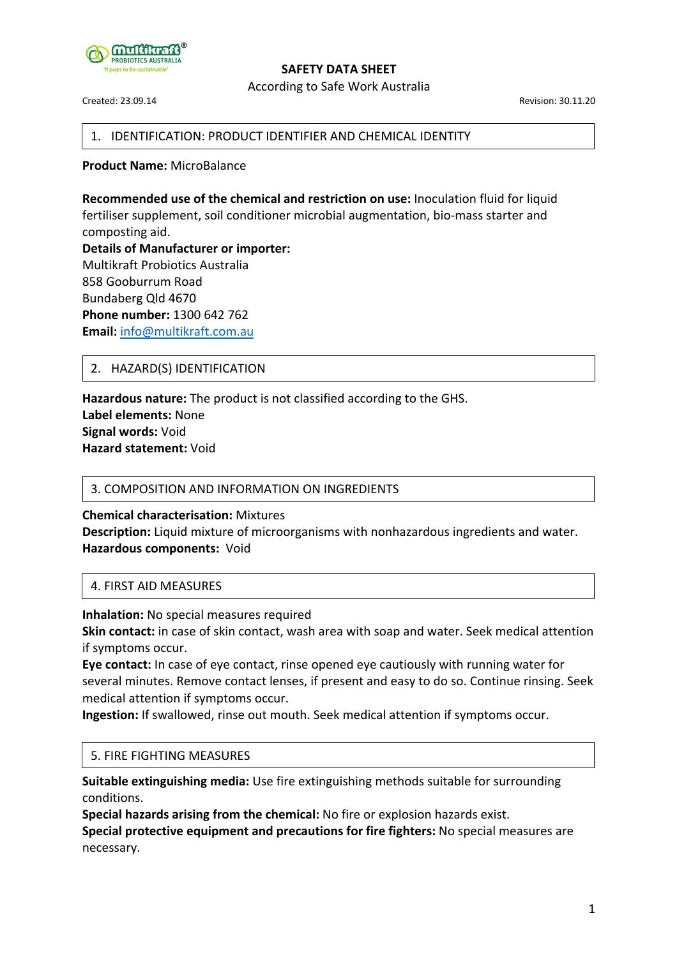

According to Safe Work Australia

Created: 23.09.14 Revision: 30.11.20

### 1. IDENTIFICATION: PRODUCT IDENTIFIER AND CHEMICAL IDENTITY

**Product Name:** MicroBalance

**Recommended use of the chemical and restriction on use:** Inoculation fluid for liquid fertiliser supplement, soil conditioner microbial augmentation, bio-mass starter and composting aid. **Details of Manufacturer or importer:** Multikraft Probiotics Australia 858 Gooburrum Road Bundaberg Qld 4670 **Phone number:** 1300 642 762 **Email:** info@multikraft.com.au

### 2. HAZARD(S) IDENTIFICATION

**Hazardous nature:** The product is not classified according to the GHS. **Label elements:** None **Signal words:** Void **Hazard statement:** Void

### 3. COMPOSITION AND INFORMATION ON INGREDIENTS

**Chemical characterisation:** Mixtures **Description:** Liquid mixture of microorganisms with nonhazardous ingredients and water. **Hazardous components:** Void

### 4. FIRST AID MEASURES

**Inhalation:** No special measures required

**Skin contact:** in case of skin contact, wash area with soap and water. Seek medical attention if symptoms occur.

**Eye contact:** In case of eye contact, rinse opened eye cautiously with running water for several minutes. Remove contact lenses, if present and easy to do so. Continue rinsing. Seek medical attention if symptoms occur.

**Ingestion:** If swallowed, rinse out mouth. Seek medical attention if symptoms occur.

### 5. FIRE FIGHTING MEASURES

**Suitable extinguishing media:** Use fire extinguishing methods suitable for surrounding conditions.

**Special hazards arising from the chemical:** No fire or explosion hazards exist. **Special protective equipment and precautions for fire fighters:** No special measures are necessary.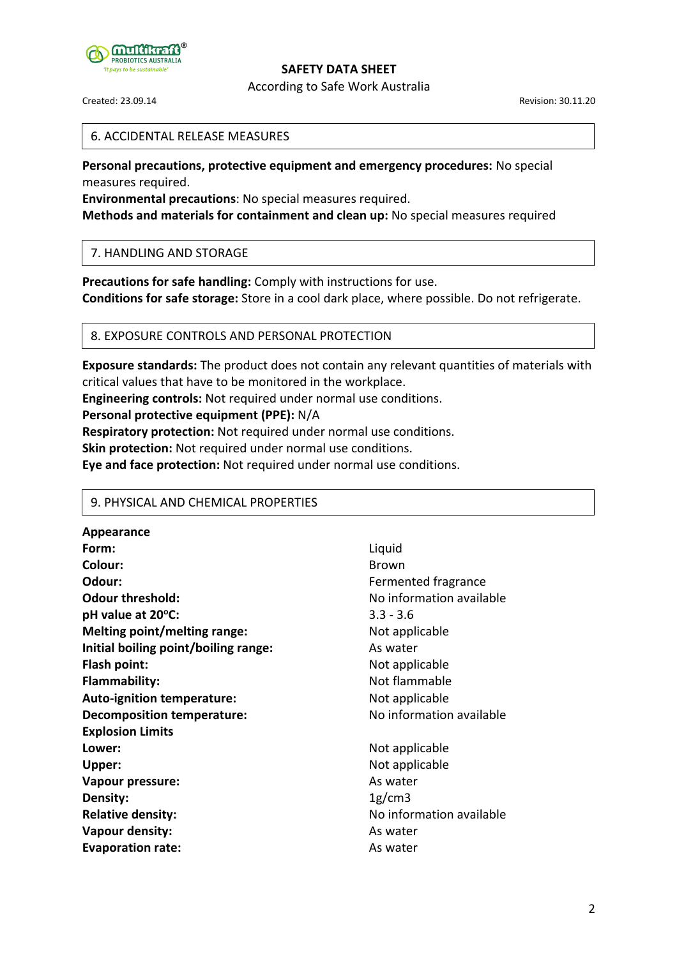

According to Safe Work Australia

Created: 23.09.14 Revision: 30.11.20

### 6. ACCIDENTAL RELEASE MEASURES

**Personal precautions, protective equipment and emergency procedures:** No special measures required.

**Environmental precautions**: No special measures required.

**Methods and materials for containment and clean up:** No special measures required

### 7. HANDLING AND STORAGE

**Precautions for safe handling:** Comply with instructions for use. **Conditions for safe storage:** Store in a cool dark place, where possible. Do not refrigerate.

### 8. EXPOSURE CONTROLS AND PERSONAL PROTECTION

**Exposure standards:** The product does not contain any relevant quantities of materials with critical values that have to be monitored in the workplace.

**Engineering controls:** Not required under normal use conditions.

### **Personal protective equipment (PPE):** N/A

**Respiratory protection:** Not required under normal use conditions.

**Skin protection:** Not required under normal use conditions.

**Eye and face protection:** Not required under normal use conditions.

### 9. PHYSICAL AND CHEMICAL PROPERTIES

**Appearance Form:** Liquid **Colour:** Brown **Odour:** Community Contract Community Contract Fermented fragrance **Odour threshold:** No information available **pH value at 20°C:** 3.3 - 3.6 **Melting point/melting range:** Not applicable **Initial boiling point/boiling range:** As water **Flash point:** Not applicable **Flammability:** Not flammable Auto-ignition temperature: Not applicable **Decomposition temperature:** No information available **Explosion Limits Lower:** Not applicable **Upper:** Not applicable **Vapour pressure:** As water **Density:** 1g/cm3 **Relative density:** No information available **Vapour density:** As water **Evaporation rate:** As water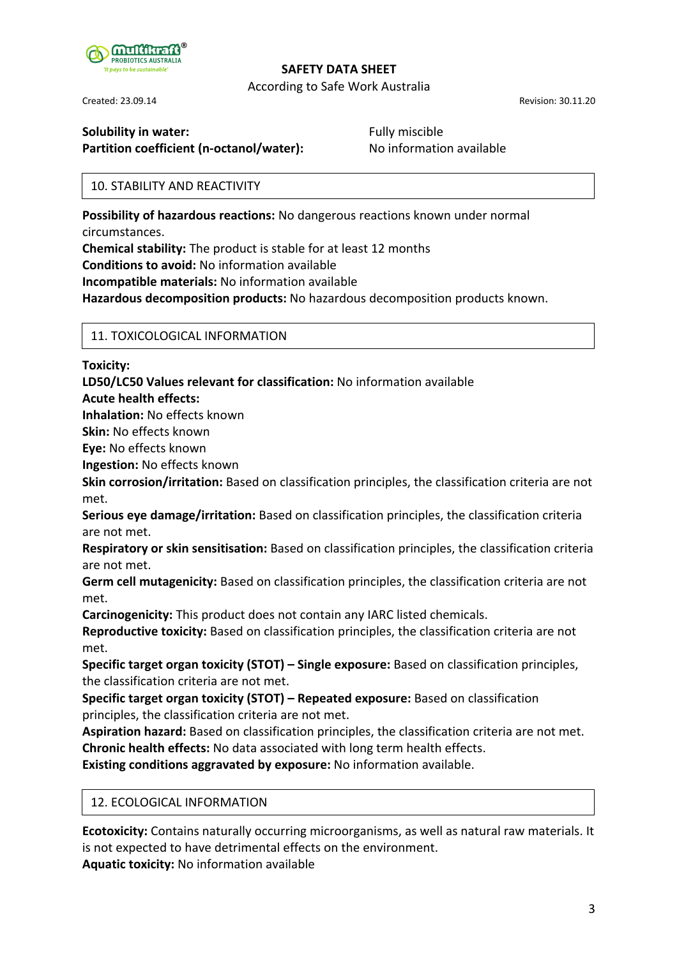

According to Safe Work Australia

Created: 23.09.14 Revision: 30.11.20

# **Solubility in water:** The Solubility in water: The Solubility in water: The Solubility in water: The Solubi Pully miscible

**Partition coefficient (n-octanol/water):** No information available

# 10. STABILITY AND REACTIVITY

**Possibility of hazardous reactions:** No dangerous reactions known under normal circumstances.

**Chemical stability:** The product is stable for at least 12 months **Conditions to avoid:** No information available

**Incompatible materials:** No information available

**Hazardous decomposition products:** No hazardous decomposition products known.

## 11. TOXICOLOGICAL INFORMATION

**Toxicity:**

**LD50/LC50 Values relevant for classification:** No information available

**Acute health effects:**

**Inhalation:** No effects known

**Skin:** No effects known

**Eye:** No effects known

**Ingestion:** No effects known

**Skin corrosion/irritation:** Based on classification principles, the classification criteria are not met.

**Serious eye damage/irritation:** Based on classification principles, the classification criteria are not met.

**Respiratory or skin sensitisation:** Based on classification principles, the classification criteria are not met.

**Germ cell mutagenicity:** Based on classification principles, the classification criteria are not met.

**Carcinogenicity:** This product does not contain any IARC listed chemicals.

**Reproductive toxicity:** Based on classification principles, the classification criteria are not met.

**Specific target organ toxicity (STOT) – Single exposure:** Based on classification principles, the classification criteria are not met.

**Specific target organ toxicity (STOT) – Repeated exposure:** Based on classification principles, the classification criteria are not met.

**Aspiration hazard:** Based on classification principles, the classification criteria are not met. **Chronic health effects:** No data associated with long term health effects.

**Existing conditions aggravated by exposure:** No information available.

## 12. ECOLOGICAL INFORMATION

**Ecotoxicity:** Contains naturally occurring microorganisms, as well as natural raw materials. It is not expected to have detrimental effects on the environment.

**Aquatic toxicity:** No information available